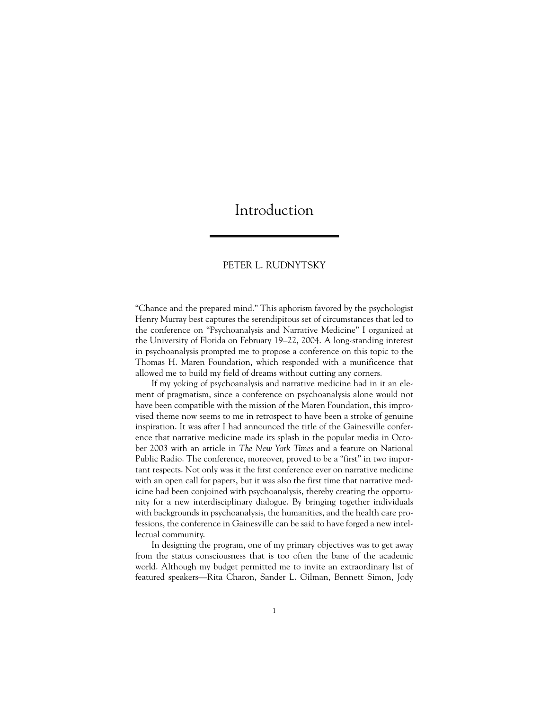# Introduction

## PETER L. RUDNYTSKY

"Chance and the prepared mind." This aphorism favored by the psychologist Henry Murray best captures the serendipitous set of circumstances that led to the conference on "Psychoanalysis and Narrative Medicine" I organized at the University of Florida on February 19–22, 2004. A long-standing interest in psychoanalysis prompted me to propose a conference on this topic to the Thomas H. Maren Foundation, which responded with a munificence that allowed me to build my field of dreams without cutting any corners.

If my yoking of psychoanalysis and narrative medicine had in it an element of pragmatism, since a conference on psychoanalysis alone would not have been compatible with the mission of the Maren Foundation, this improvised theme now seems to me in retrospect to have been a stroke of genuine inspiration. It was after I had announced the title of the Gainesville conference that narrative medicine made its splash in the popular media in October 2003 with an article in *The New York Times* and a feature on National Public Radio. The conference, moreover, proved to be a "first" in two important respects. Not only was it the first conference ever on narrative medicine with an open call for papers, but it was also the first time that narrative medicine had been conjoined with psychoanalysis, thereby creating the opportunity for a new interdisciplinary dialogue. By bringing together individuals with backgrounds in psychoanalysis, the humanities, and the health care professions, the conference in Gainesville can be said to have forged a new intellectual community.

In designing the program, one of my primary objectives was to get away from the status consciousness that is too often the bane of the academic world. Although my budget permitted me to invite an extraordinary list of featured speakers—Rita Charon, Sander L. Gilman, Bennett Simon, Jody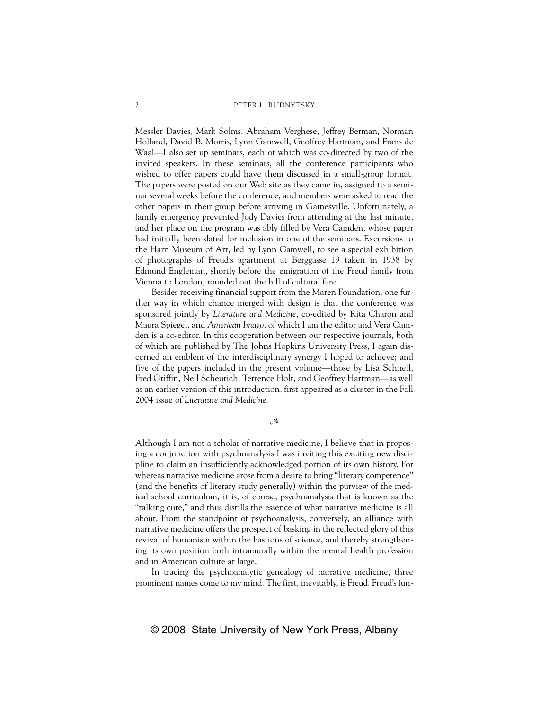Messler Davies, Mark Solms, Abraham Verghese, Jeffrey Berman, Norman Holland, David B. Morris, Lynn Gamwell, Geoffrey Hartman, and Frans de Waal—I also set up seminars, each of which was co-directed by two of the invited speakers. In these seminars, all the conference participants who wished to offer papers could have them discussed in a small-group format. The papers were posted on our Web site as they came in, assigned to a seminar several weeks before the conference, and members were asked to read the other papers in their group before arriving in Gainesville. Unfortunately, a family emergency prevented Jody Davies from attending at the last minute, and her place on the program was ably filled by Vera Camden, whose paper had initially been slated for inclusion in one of the seminars. Excursions to the Harn Museum of Art, led by Lynn Gamwell, to see a special exhibition of photographs of Freud's apartment at Berggasse 19 taken in 1938 by Edmund Engleman, shortly before the emigration of the Freud family from Vienna to London, rounded out the bill of cultural fare.

Besides receiving financial support from the Maren Foundation, one further way in which chance merged with design is that the conference was sponsored jointly by *Literature and Medicine*, co-edited by Rita Charon and Maura Spiegel, and *American Imago*, of which I am the editor and Vera Camden is a co-editor. In this cooperation between our respective journals, both of which are published by The Johns Hopkins University Press, I again discerned an emblem of the interdisciplinary synergy I hoped to achieve; and five of the papers included in the present volume—those by Lisa Schnell, Fred Griffin, Neil Scheurich, Terrence Holt, and Geoffrey Hartman—as well as an earlier version of this introduction, first appeared as a cluster in the Fall 2004 issue of *Literature and Medicine*.

يو<br>پار

Although I am not a scholar of narrative medicine, I believe that in proposing a conjunction with psychoanalysis I was inviting this exciting new discipline to claim an insufficiently acknowledged portion of its own history. For whereas narrative medicine arose from a desire to bring "literary competence" (and the benefits of literary study generally) within the purview of the medical school curriculum, it is, of course, psychoanalysis that is known as the "talking cure," and thus distills the essence of what narrative medicine is all about. From the standpoint of psychoanalysis, conversely, an alliance with narrative medicine offers the prospect of basking in the reflected glory of this revival of humanism within the bastions of science, and thereby strengthening its own position both intramurally within the mental health profession and in American culture at large.

In tracing the psychoanalytic genealogy of narrative medicine, three prominent names come to my mind. The first, inevitably, is Freud. Freud's fun-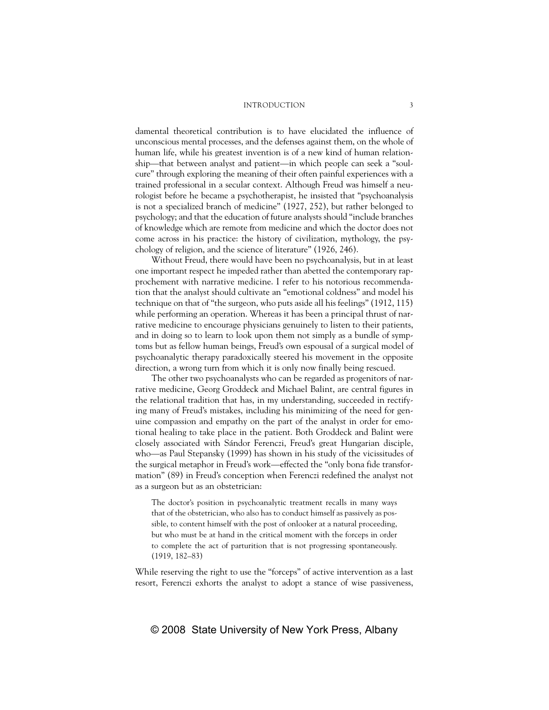damental theoretical contribution is to have elucidated the influence of unconscious mental processes, and the defenses against them, on the whole of human life, while his greatest invention is of a new kind of human relationship—that between analyst and patient—in which people can seek a "soulcure" through exploring the meaning of their often painful experiences with a trained professional in a secular context. Although Freud was himself a neurologist before he became a psychotherapist, he insisted that "psychoanalysis is not a specialized branch of medicine" (1927, 252), but rather belonged to psychology; and that the education of future analysts should "include branches of knowledge which are remote from medicine and which the doctor does not come across in his practice: the history of civilization, mythology, the psychology of religion, and the science of literature" (1926, 246).

Without Freud, there would have been no psychoanalysis, but in at least one important respect he impeded rather than abetted the contemporary rapprochement with narrative medicine. I refer to his notorious recommendation that the analyst should cultivate an "emotional coldness" and model his technique on that of "the surgeon, who puts aside all his feelings" (1912, 115) while performing an operation. Whereas it has been a principal thrust of narrative medicine to encourage physicians genuinely to listen to their patients, and in doing so to learn to look upon them not simply as a bundle of symptoms but as fellow human beings, Freud's own espousal of a surgical model of psychoanalytic therapy paradoxically steered his movement in the opposite direction, a wrong turn from which it is only now finally being rescued.

The other two psychoanalysts who can be regarded as progenitors of narrative medicine, Georg Groddeck and Michael Balint, are central figures in the relational tradition that has, in my understanding, succeeded in rectifying many of Freud's mistakes, including his minimizing of the need for genuine compassion and empathy on the part of the analyst in order for emotional healing to take place in the patient. Both Groddeck and Balint were closely associated with Sándor Ferenczi, Freud's great Hungarian disciple, who—as Paul Stepansky (1999) has shown in his study of the vicissitudes of the surgical metaphor in Freud's work—effected the "only bona fide transformation" (89) in Freud's conception when Ferenczi redefined the analyst not as a surgeon but as an obstetrician:

The doctor's position in psychoanalytic treatment recalls in many ways that of the obstetrician, who also has to conduct himself as passively as possible, to content himself with the post of onlooker at a natural proceeding, but who must be at hand in the critical moment with the forceps in order to complete the act of parturition that is not progressing spontaneously. (1919, 182–83)

While reserving the right to use the "forceps" of active intervention as a last resort, Ferenczi exhorts the analyst to adopt a stance of wise passiveness,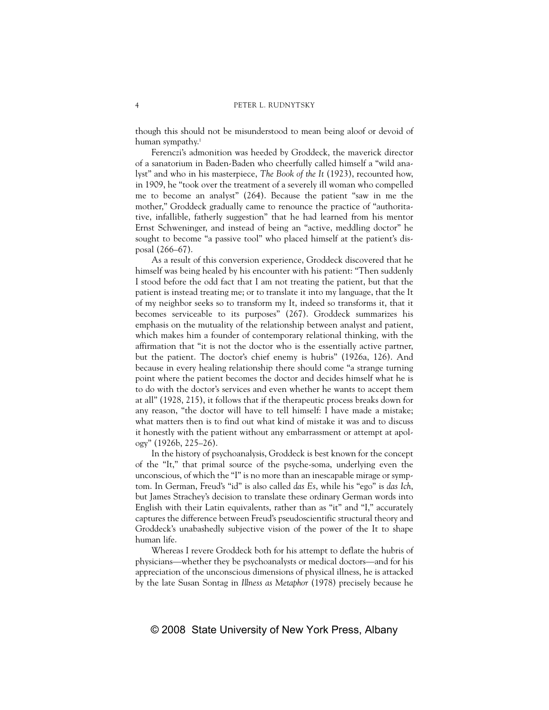though this should not be misunderstood to mean being aloof or devoid of human sympathy.<sup>1</sup>

Ferenczi's admonition was heeded by Groddeck, the maverick director of a sanatorium in Baden-Baden who cheerfully called himself a "wild analyst" and who in his masterpiece, *The Book of the It* (1923), recounted how, in 1909, he "took over the treatment of a severely ill woman who compelled me to become an analyst" (264). Because the patient "saw in me the mother," Groddeck gradually came to renounce the practice of "authoritative, infallible, fatherly suggestion" that he had learned from his mentor Ernst Schweninger, and instead of being an "active, meddling doctor" he sought to become "a passive tool" who placed himself at the patient's disposal (266–67).

As a result of this conversion experience, Groddeck discovered that he himself was being healed by his encounter with his patient: "Then suddenly I stood before the odd fact that I am not treating the patient, but that the patient is instead treating me; or to translate it into my language, that the It of my neighbor seeks so to transform my It, indeed so transforms it, that it becomes serviceable to its purposes" (267). Groddeck summarizes his emphasis on the mutuality of the relationship between analyst and patient, which makes him a founder of contemporary relational thinking, with the affirmation that "it is not the doctor who is the essentially active partner, but the patient. The doctor's chief enemy is hubris" (1926a, 126). And because in every healing relationship there should come "a strange turning point where the patient becomes the doctor and decides himself what he is to do with the doctor's services and even whether he wants to accept them at all" (1928, 215), it follows that if the therapeutic process breaks down for any reason, "the doctor will have to tell himself: I have made a mistake; what matters then is to find out what kind of mistake it was and to discuss it honestly with the patient without any embarrassment or attempt at apology" (1926b, 225–26).

In the history of psychoanalysis, Groddeck is best known for the concept of the "It," that primal source of the psyche-soma, underlying even the unconscious, of which the "I" is no more than an inescapable mirage or symptom. In German, Freud's "id" is also called *das Es*, while his "ego" is *das Ich*, but James Strachey's decision to translate these ordinary German words into English with their Latin equivalents, rather than as "it" and "I," accurately captures the difference between Freud's pseudoscientific structural theory and Groddeck's unabashedly subjective vision of the power of the It to shape human life.

Whereas I revere Groddeck both for his attempt to deflate the hubris of physicians—whether they be psychoanalysts or medical doctors—and for his appreciation of the unconscious dimensions of physical illness, he is attacked by the late Susan Sontag in *Illness as Metaphor* (1978) precisely because he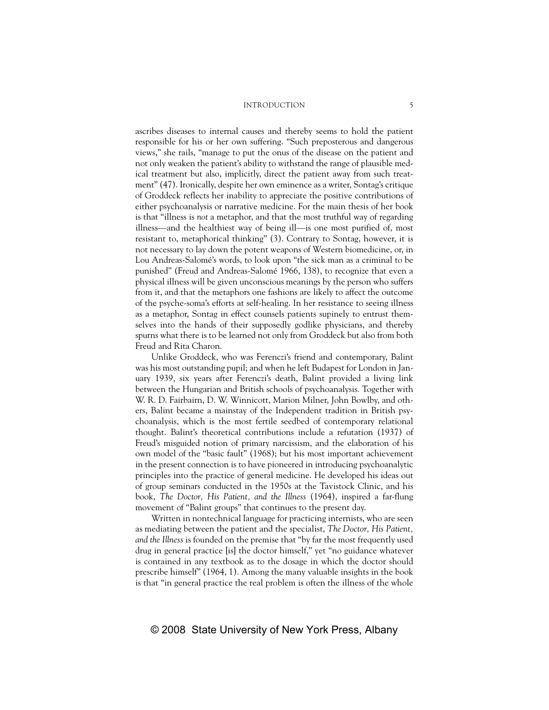ascribes diseases to internal causes and thereby seems to hold the patient responsible for his or her own suffering. "Such preposterous and dangerous views," she rails, "manage to put the onus of the disease on the patient and not only weaken the patient's ability to withstand the range of plausible medical treatment but also, implicitly, direct the patient away from such treatment" (47). Ironically, despite her own eminence as a writer, Sontag's critique of Groddeck reflects her inability to appreciate the positive contributions of either psychoanalysis or narrative medicine. For the main thesis of her book is that "illness is *not* a metaphor, and that the most truthful way of regarding illness—and the healthiest way of being ill—is one most purified of, most resistant to, metaphorical thinking" (3). Contrary to Sontag, however, it is not necessary to lay down the potent weapons of Western biomedicine, or, in Lou Andreas-Salomé's words, to look upon "the sick man as a criminal to be punished" (Freud and Andreas-Salomé 1966, 138), to recognize that even a physical illness will be given unconscious meanings by the person who suffers from it, and that the metaphors one fashions are likely to affect the outcome of the psyche-soma's efforts at self-healing. In her resistance to seeing illness as a metaphor, Sontag in effect counsels patients supinely to entrust themselves into the hands of their supposedly godlike physicians, and thereby spurns what there is to be learned not only from Groddeck but also from both Freud and Rita Charon.

Unlike Groddeck, who was Ferenczi's friend and contemporary, Balint was his most outstanding pupil; and when he left Budapest for London in January 1939, six years after Ferenczi's death, Balint provided a living link between the Hungarian and British schools of psychoanalysis. Together with W. R. D. Fairbairn, D. W. Winnicott, Marion Milner, John Bowlby, and others, Balint became a mainstay of the Independent tradition in British psychoanalysis, which is the most fertile seedbed of contemporary relational thought. Balint's theoretical contributions include a refutation (1937) of Freud's misguided notion of primary narcissism, and the elaboration of his own model of the "basic fault" (1968); but his most important achievement in the present connection is to have pioneered in introducing psychoanalytic principles into the practice of general medicine. He developed his ideas out of group seminars conducted in the 1950s at the Tavistock Clinic, and his book, *The Doctor, His Patient, and the Illness* (1964), inspired a far-flung movement of "Balint groups" that continues to the present day.

Written in nontechnical language for practicing internists, who are seen as mediating between the patient and the specialist, *The Doctor, His Patient, and the Illness* is founded on the premise that "by far the most frequently used drug in general practice [is] the doctor himself," yet "no guidance whatever is contained in any textbook as to the dosage in which the doctor should prescribe himself" (1964, 1). Among the many valuable insights in the book is that "in general practice the real problem is often the illness of the whole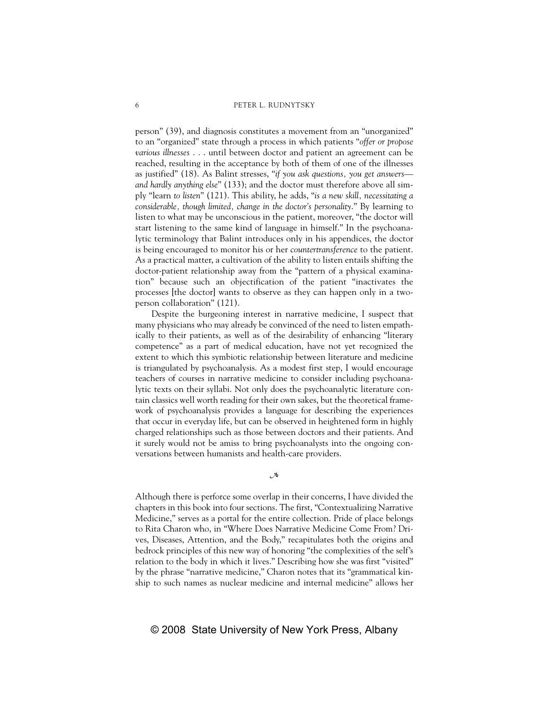person" (39), and diagnosis constitutes a movement from an "unorganized" to an "organized" state through a process in which patients "*offer or propose various illnesses* . . . until between doctor and patient an agreement can be reached, resulting in the acceptance by both of them of one of the illnesses as justified" (18). As Balint stresses, "*if you ask questions, you get answers and hardly anything else*" (133); and the doctor must therefore above all simply "learn *to listen*" (121). This ability, he adds, "*is a new skill, necessitating a considerable, though limited, change in the doctor's personality*." By learning to listen to what may be unconscious in the patient, moreover, "the doctor will start listening to the same kind of language in himself." In the psychoanalytic terminology that Balint introduces only in his appendices, the doctor is being encouraged to monitor his or her *countertransference* to the patient. As a practical matter, a cultivation of the ability to listen entails shifting the doctor-patient relationship away from the "pattern of a physical examination" because such an objectification of the patient "inactivates the processes [the doctor] wants to observe as they can happen only in a twoperson collaboration" (121).

Despite the burgeoning interest in narrative medicine, I suspect that many physicians who may already be convinced of the need to listen empathically to their patients, as well as of the desirability of enhancing "literary competence" as a part of medical education, have not yet recognized the extent to which this symbiotic relationship between literature and medicine is triangulated by psychoanalysis. As a modest first step, I would encourage teachers of courses in narrative medicine to consider including psychoanalytic texts on their syllabi. Not only does the psychoanalytic literature contain classics well worth reading for their own sakes, but the theoretical framework of psychoanalysis provides a language for describing the experiences that occur in everyday life, but can be observed in heightened form in highly charged relationships such as those between doctors and their patients. And it surely would not be amiss to bring psychoanalysts into the ongoing conversations between humanists and health-care providers.

يو<br>پار

Although there is perforce some overlap in their concerns, I have divided the chapters in this book into four sections. The first, "Contextualizing Narrative Medicine," serves as a portal for the entire collection. Pride of place belongs to Rita Charon who, in "Where Does Narrative Medicine Come From? Drives, Diseases, Attention, and the Body," recapitulates both the origins and bedrock principles of this new way of honoring "the complexities of the self's relation to the body in which it lives." Describing how she was first "visited" by the phrase "narrative medicine," Charon notes that its "grammatical kinship to such names as nuclear medicine and internal medicine" allows her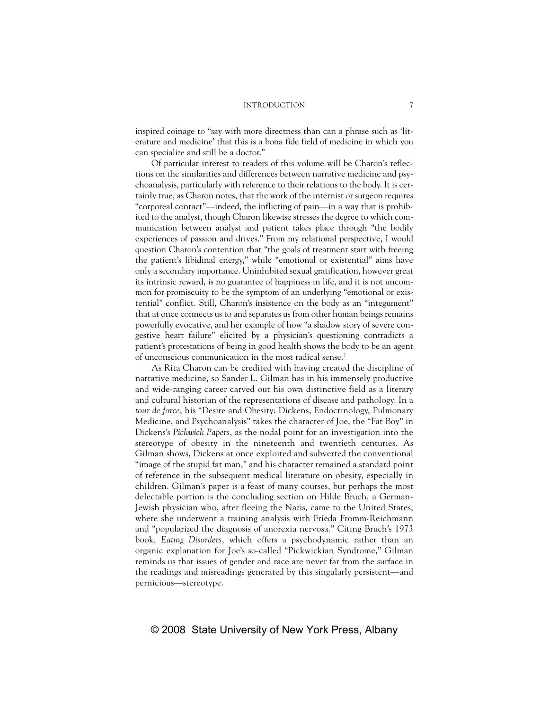inspired coinage to "say with more directness than can a phrase such as 'literature and medicine' that this is a bona fide field of medicine in which you can specialize and still be a doctor."

Of particular interest to readers of this volume will be Charon's reflections on the similarities and differences between narrative medicine and psychoanalysis, particularly with reference to their relations to the body. It is certainly true, as Charon notes, that the work of the internist or surgeon requires "corporeal contact"—indeed, the inflicting of pain—in a way that is prohibited to the analyst, though Charon likewise stresses the degree to which communication between analyst and patient takes place through "the bodily experiences of passion and drives." From my relational perspective, I would question Charon's contention that "the goals of treatment start with freeing the patient's libidinal energy," while "emotional or existential" aims have only a secondary importance. Uninhibited sexual gratification, however great its intrinsic reward, is no guarantee of happiness in life, and it is not uncommon for promiscuity to be the symptom of an underlying "emotional or existential" conflict. Still, Charon's insistence on the body as an "integument" that at once connects us to and separates us from other human beings remains powerfully evocative, and her example of how "a shadow story of severe congestive heart failure" elicited by a physician's questioning contradicts a patient's protestations of being in good health shows the body to be an agent of unconscious communication in the most radical sense.2

As Rita Charon can be credited with having created the discipline of narrative medicine, so Sander L. Gilman has in his immensely productive and wide-ranging career carved out his own distinctive field as a literary and cultural historian of the representations of disease and pathology. In a *tour de force*, his "Desire and Obesity: Dickens, Endocrinology, Pulmonary Medicine, and Psychoanalysis" takes the character of Joe, the "Fat Boy" in Dickens's *Pickwick Papers*, as the nodal point for an investigation into the stereotype of obesity in the nineteenth and twentieth centuries. As Gilman shows, Dickens at once exploited and subverted the conventional "image of the stupid fat man," and his character remained a standard point of reference in the subsequent medical literature on obesity, especially in children. Gilman's paper is a feast of many courses, but perhaps the most delectable portion is the concluding section on Hilde Bruch, a German-Jewish physician who, after fleeing the Nazis, came to the United States, where she underwent a training analysis with Frieda Fromm-Reichmann and "popularized the diagnosis of anorexia nervosa." Citing Bruch's 1973 book, *Eating Disorders*, which offers a psychodynamic rather than an organic explanation for Joe's so-called "Pickwickian Syndrome," Gilman reminds us that issues of gender and race are never far from the surface in the readings and misreadings generated by this singularly persistent—and pernicious—stereotype.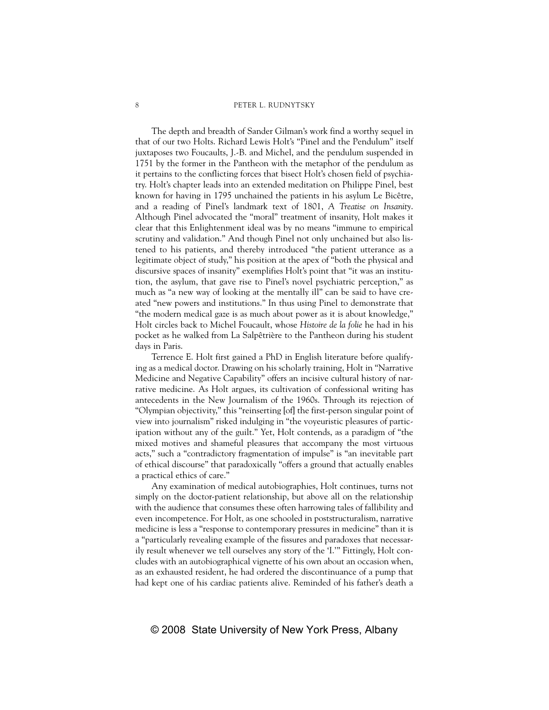The depth and breadth of Sander Gilman's work find a worthy sequel in that of our two Holts. Richard Lewis Holt's "Pinel and the Pendulum" itself juxtaposes two Foucaults, J.-B. and Michel, and the pendulum suspended in 1751 by the former in the Pantheon with the metaphor of the pendulum as it pertains to the conflicting forces that bisect Holt's chosen field of psychiatry. Holt's chapter leads into an extended meditation on Philippe Pinel, best known for having in 1795 unchained the patients in his asylum Le Bicêtre, and a reading of Pinel's landmark text of 1801, *A Treatise on Insanity*. Although Pinel advocated the "moral" treatment of insanity, Holt makes it clear that this Enlightenment ideal was by no means "immune to empirical scrutiny and validation." And though Pinel not only unchained but also listened to his patients, and thereby introduced "the patient utterance as a legitimate object of study," his position at the apex of "both the physical and discursive spaces of insanity" exemplifies Holt's point that "it was an institution, the asylum, that gave rise to Pinel's novel psychiatric perception," as much as "a new way of looking at the mentally ill" can be said to have created "new powers and institutions." In thus using Pinel to demonstrate that "the modern medical gaze is as much about power as it is about knowledge," Holt circles back to Michel Foucault, whose *Histoire de la folie* he had in his pocket as he walked from La Salpêtrière to the Pantheon during his student days in Paris.

Terrence E. Holt first gained a PhD in English literature before qualifying as a medical doctor. Drawing on his scholarly training, Holt in "Narrative Medicine and Negative Capability" offers an incisive cultural history of narrative medicine. As Holt argues, its cultivation of confessional writing has antecedents in the New Journalism of the 1960s. Through its rejection of "Olympian objectivity," this "reinserting [of] the first-person singular point of view into journalism" risked indulging in "the voyeuristic pleasures of participation without any of the guilt." Yet, Holt contends, as a paradigm of "the mixed motives and shameful pleasures that accompany the most virtuous acts," such a "contradictory fragmentation of impulse" is "an inevitable part of ethical discourse" that paradoxically "offers a ground that actually enables a practical ethics of care."

Any examination of medical autobiographies, Holt continues, turns not simply on the doctor-patient relationship, but above all on the relationship with the audience that consumes these often harrowing tales of fallibility and even incompetence. For Holt, as one schooled in poststructuralism, narrative medicine is less a "response to contemporary pressures in medicine" than it is a "particularly revealing example of the fissures and paradoxes that necessarily result whenever we tell ourselves any story of the 'I.'" Fittingly, Holt concludes with an autobiographical vignette of his own about an occasion when, as an exhausted resident, he had ordered the discontinuance of a pump that had kept one of his cardiac patients alive. Reminded of his father's death a

### © 2008 State University of New York Press, Albany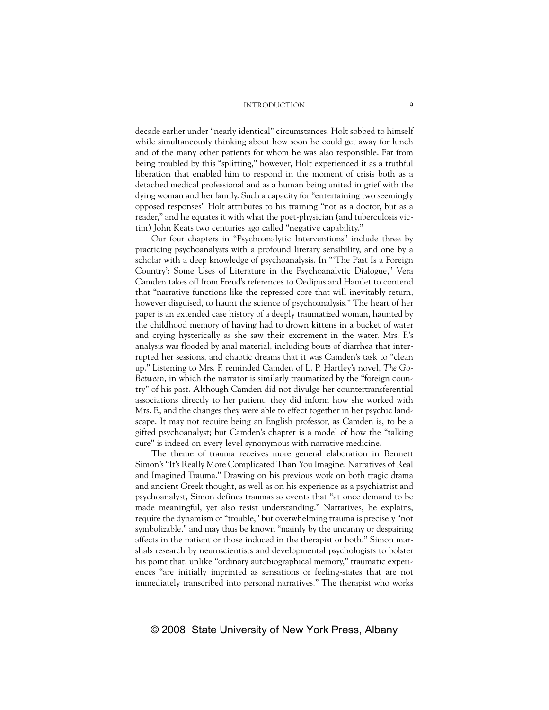decade earlier under "nearly identical" circumstances, Holt sobbed to himself while simultaneously thinking about how soon he could get away for lunch and of the many other patients for whom he was also responsible. Far from being troubled by this "splitting," however, Holt experienced it as a truthful liberation that enabled him to respond in the moment of crisis both as a detached medical professional and as a human being united in grief with the dying woman and her family. Such a capacity for "entertaining two seemingly opposed responses" Holt attributes to his training "not as a doctor, but as a reader," and he equates it with what the poet-physician (and tuberculosis victim) John Keats two centuries ago called "negative capability."

Our four chapters in "Psychoanalytic Interventions" include three by practicing psychoanalysts with a profound literary sensibility, and one by a scholar with a deep knowledge of psychoanalysis. In "'The Past Is a Foreign Country': Some Uses of Literature in the Psychoanalytic Dialogue," Vera Camden takes off from Freud's references to Oedipus and Hamlet to contend that "narrative functions like the repressed core that will inevitably return, however disguised, to haunt the science of psychoanalysis." The heart of her paper is an extended case history of a deeply traumatized woman, haunted by the childhood memory of having had to drown kittens in a bucket of water and crying hysterically as she saw their excrement in the water. Mrs. F.'s analysis was flooded by anal material, including bouts of diarrhea that interrupted her sessions, and chaotic dreams that it was Camden's task to "clean up." Listening to Mrs. F. reminded Camden of L. P. Hartley's novel, *The Go-Between*, in which the narrator is similarly traumatized by the "foreign country" of his past. Although Camden did not divulge her countertransferential associations directly to her patient, they did inform how she worked with Mrs. F., and the changes they were able to effect together in her psychic landscape. It may not require being an English professor, as Camden is, to be a gifted psychoanalyst; but Camden's chapter is a model of how the "talking cure" is indeed on every level synonymous with narrative medicine.

The theme of trauma receives more general elaboration in Bennett Simon's "It's Really More Complicated Than You Imagine: Narratives of Real and Imagined Trauma." Drawing on his previous work on both tragic drama and ancient Greek thought, as well as on his experience as a psychiatrist and psychoanalyst, Simon defines traumas as events that "at once demand to be made meaningful, yet also resist understanding." Narratives, he explains, require the dynamism of "trouble," but overwhelming trauma is precisely "not symbolizable," and may thus be known "mainly by the uncanny or despairing affects in the patient or those induced in the therapist or both." Simon marshals research by neuroscientists and developmental psychologists to bolster his point that, unlike "ordinary autobiographical memory," traumatic experiences "are initially imprinted as sensations or feeling-states that are not immediately transcribed into personal narratives." The therapist who works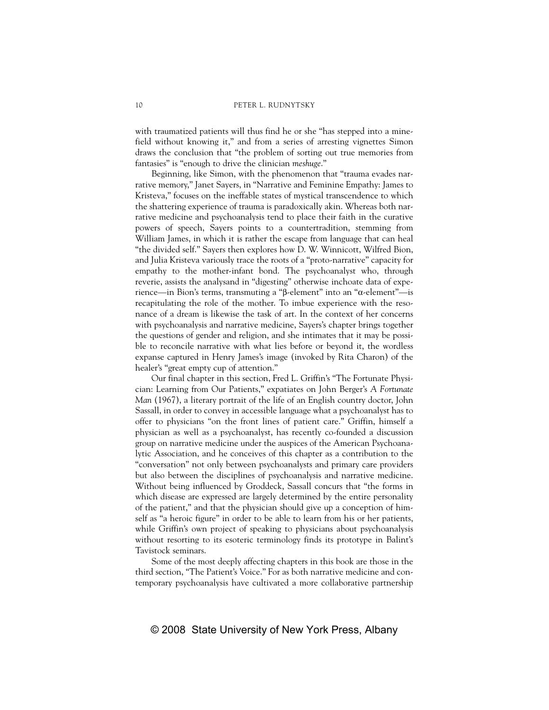with traumatized patients will thus find he or she "has stepped into a minefield without knowing it," and from a series of arresting vignettes Simon draws the conclusion that "the problem of sorting out true memories from fantasies" is "enough to drive the clinician *meshuge*."

Beginning, like Simon, with the phenomenon that "trauma evades narrative memory," Janet Sayers, in "Narrative and Feminine Empathy: James to Kristeva," focuses on the ineffable states of mystical transcendence to which the shattering experience of trauma is paradoxically akin. Whereas both narrative medicine and psychoanalysis tend to place their faith in the curative powers of speech, Sayers points to a countertradition, stemming from William James, in which it is rather the escape from language that can heal "the divided self." Sayers then explores how D. W. Winnicott, Wilfred Bion, and Julia Kristeva variously trace the roots of a "proto-narrative" capacity for empathy to the mother-infant bond. The psychoanalyst who, through reverie, assists the analysand in "digesting" otherwise inchoate data of experience—in Bion's terms, transmuting a "b-element" into an "a-element"—is recapitulating the role of the mother. To imbue experience with the resonance of a dream is likewise the task of art. In the context of her concerns with psychoanalysis and narrative medicine, Sayers's chapter brings together the questions of gender and religion, and she intimates that it may be possible to reconcile narrative with what lies before or beyond it, the wordless expanse captured in Henry James's image (invoked by Rita Charon) of the healer's "great empty cup of attention."

Our final chapter in this section, Fred L. Griffin's "The Fortunate Physician: Learning from Our Patients," expatiates on John Berger's *A Fortunate Man* (1967), a literary portrait of the life of an English country doctor, John Sassall, in order to convey in accessible language what a psychoanalyst has to offer to physicians "on the front lines of patient care." Griffin, himself a physician as well as a psychoanalyst, has recently co-founded a discussion group on narrative medicine under the auspices of the American Psychoanalytic Association, and he conceives of this chapter as a contribution to the "conversation" not only between psychoanalysts and primary care providers but also between the disciplines of psychoanalysis and narrative medicine. Without being influenced by Groddeck, Sassall concurs that "the forms in which disease are expressed are largely determined by the entire personality of the patient," and that the physician should give up a conception of himself as "a heroic figure" in order to be able to learn from his or her patients, while Griffin's own project of speaking to physicians about psychoanalysis without resorting to its esoteric terminology finds its prototype in Balint's Tavistock seminars.

Some of the most deeply affecting chapters in this book are those in the third section, "The Patient's Voice." For as both narrative medicine and contemporary psychoanalysis have cultivated a more collaborative partnership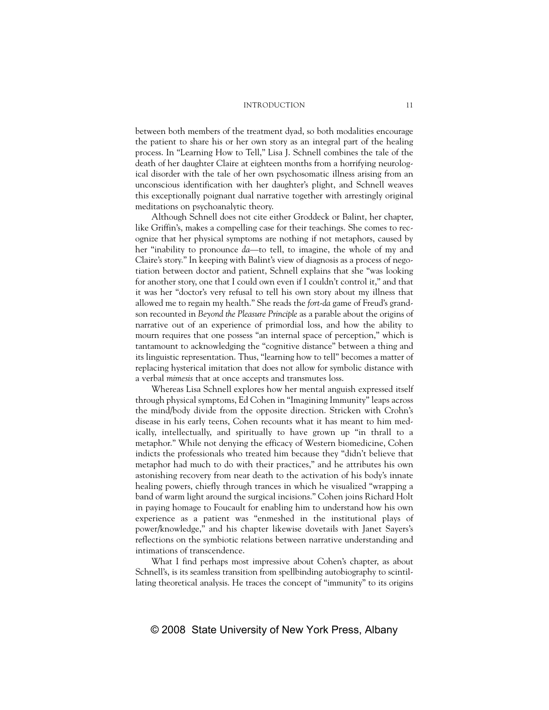between both members of the treatment dyad, so both modalities encourage the patient to share his or her own story as an integral part of the healing process. In "Learning How to Tell," Lisa J. Schnell combines the tale of the death of her daughter Claire at eighteen months from a horrifying neurological disorder with the tale of her own psychosomatic illness arising from an unconscious identification with her daughter's plight, and Schnell weaves this exceptionally poignant dual narrative together with arrestingly original meditations on psychoanalytic theory.

Although Schnell does not cite either Groddeck or Balint, her chapter, like Griffin's, makes a compelling case for their teachings. She comes to recognize that her physical symptoms are nothing if not metaphors, caused by her "inability to pronounce *da*—to tell, to imagine, the whole of my and Claire's story." In keeping with Balint's view of diagnosis as a process of negotiation between doctor and patient, Schnell explains that she "was looking for another story, one that I could own even if I couldn't control it," and that it was her "doctor's very refusal to tell his own story about my illness that allowed me to regain my health." She reads the *fort-da* game of Freud's grandson recounted in *Beyond the Pleasure Principle* as a parable about the origins of narrative out of an experience of primordial loss, and how the ability to mourn requires that one possess "an internal space of perception," which is tantamount to acknowledging the "cognitive distance" between a thing and its linguistic representation. Thus, "learning how to tell" becomes a matter of replacing hysterical imitation that does not allow for symbolic distance with a verbal *mimesis* that at once accepts and transmutes loss.

Whereas Lisa Schnell explores how her mental anguish expressed itself through physical symptoms, Ed Cohen in "Imagining Immunity" leaps across the mind/body divide from the opposite direction. Stricken with Crohn's disease in his early teens, Cohen recounts what it has meant to him medically, intellectually, and spiritually to have grown up "in thrall to a metaphor." While not denying the efficacy of Western biomedicine, Cohen indicts the professionals who treated him because they "didn't believe that metaphor had much to do with their practices," and he attributes his own astonishing recovery from near death to the activation of his body's innate healing powers, chiefly through trances in which he visualized "wrapping a band of warm light around the surgical incisions." Cohen joins Richard Holt in paying homage to Foucault for enabling him to understand how his own experience as a patient was "enmeshed in the institutional plays of power/knowledge," and his chapter likewise dovetails with Janet Sayers's reflections on the symbiotic relations between narrative understanding and intimations of transcendence.

What I find perhaps most impressive about Cohen's chapter, as about Schnell's, is its seamless transition from spellbinding autobiography to scintillating theoretical analysis. He traces the concept of "immunity" to its origins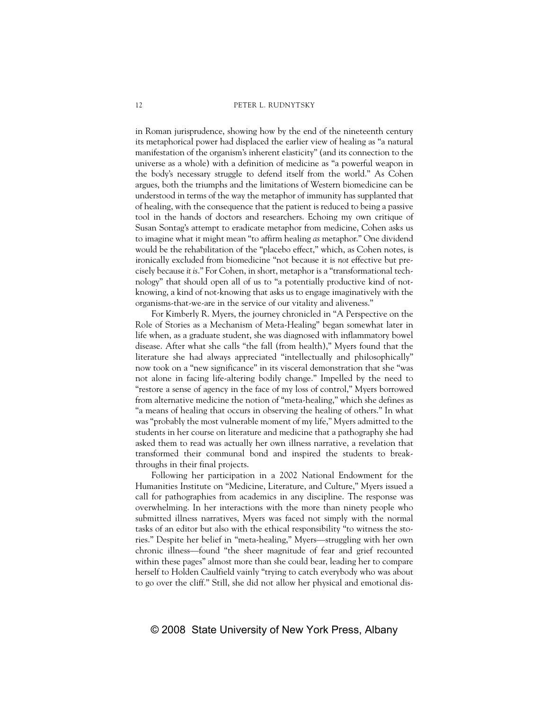in Roman jurisprudence, showing how by the end of the nineteenth century its metaphorical power had displaced the earlier view of healing as "a natural manifestation of the organism's inherent elasticity" (and its connection to the universe as a whole) with a definition of medicine as "a powerful weapon in the body's necessary struggle to defend itself from the world." As Cohen argues, both the triumphs and the limitations of Western biomedicine can be understood in terms of the way the metaphor of immunity has supplanted that of healing, with the consequence that the patient is reduced to being a passive tool in the hands of doctors and researchers. Echoing my own critique of Susan Sontag's attempt to eradicate metaphor from medicine, Cohen asks us to imagine what it might mean "to affirm healing *as* metaphor." One dividend would be the rehabilitation of the "placebo effect," which, as Cohen notes, is ironically excluded from biomedicine "not because it is *not* effective but precisely because *it is*." For Cohen, in short, metaphor is a "transformational technology" that should open all of us to "a potentially productive kind of notknowing, a kind of not-knowing that asks us to engage imaginatively with the organisms-that-we-are in the service of our vitality and aliveness."

For Kimberly R. Myers, the journey chronicled in "A Perspective on the Role of Stories as a Mechanism of Meta-Healing" began somewhat later in life when, as a graduate student, she was diagnosed with inflammatory bowel disease. After what she calls "the fall (from health)," Myers found that the literature she had always appreciated "intellectually and philosophically" now took on a "new significance" in its visceral demonstration that she "was not alone in facing life-altering bodily change." Impelled by the need to "restore a sense of agency in the face of my loss of control," Myers borrowed from alternative medicine the notion of "meta-healing," which she defines as "a means of healing that occurs in observing the healing of others." In what was "probably the most vulnerable moment of my life," Myers admitted to the students in her course on literature and medicine that a pathography she had asked them to read was actually her own illness narrative, a revelation that transformed their communal bond and inspired the students to breakthroughs in their final projects.

Following her participation in a 2002 National Endowment for the Humanities Institute on "Medicine, Literature, and Culture," Myers issued a call for pathographies from academics in any discipline. The response was overwhelming. In her interactions with the more than ninety people who submitted illness narratives, Myers was faced not simply with the normal tasks of an editor but also with the ethical responsibility "to witness the stories." Despite her belief in "meta-healing," Myers—struggling with her own chronic illness—found "the sheer magnitude of fear and grief recounted within these pages" almost more than she could bear, leading her to compare herself to Holden Caulfield vainly "trying to catch everybody who was about to go over the cliff." Still, she did not allow her physical and emotional dis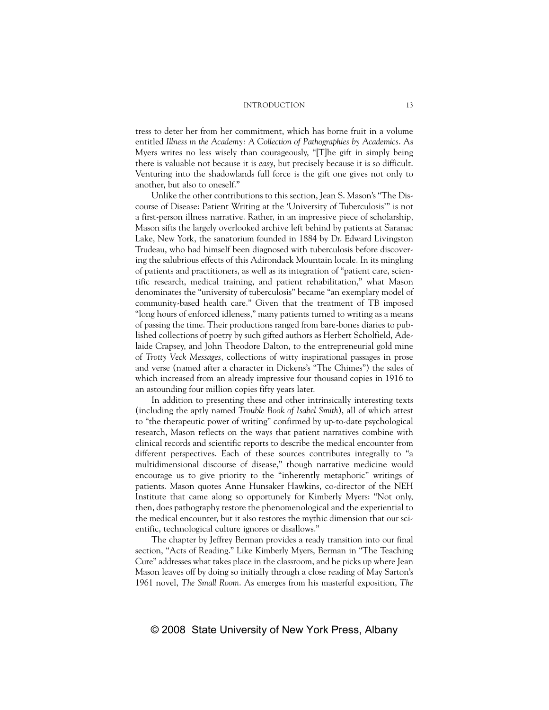tress to deter her from her commitment, which has borne fruit in a volume entitled *Illness in the Academy: A Collection of Pathographies by Academics*. As Myers writes no less wisely than courageously, "[T]he gift in simply being there is valuable not because it is *easy*, but precisely because it is so difficult. Venturing into the shadowlands full force is the gift one gives not only to another, but also to oneself."

Unlike the other contributions to this section, Jean S. Mason's "The Discourse of Disease: Patient Writing at the 'University of Tuberculosis'" is not a first-person illness narrative. Rather, in an impressive piece of scholarship, Mason sifts the largely overlooked archive left behind by patients at Saranac Lake, New York, the sanatorium founded in 1884 by Dr. Edward Livingston Trudeau, who had himself been diagnosed with tuberculosis before discovering the salubrious effects of this Adirondack Mountain locale. In its mingling of patients and practitioners, as well as its integration of "patient care, scientific research, medical training, and patient rehabilitation," what Mason denominates the "university of tuberculosis" became "an exemplary model of community-based health care." Given that the treatment of TB imposed "long hours of enforced idleness," many patients turned to writing as a means of passing the time. Their productions ranged from bare-bones diaries to published collections of poetry by such gifted authors as Herbert Scholfield, Adelaide Crapsey, and John Theodore Dalton, to the entrepreneurial gold mine of *Trotty Veck Messages*, collections of witty inspirational passages in prose and verse (named after a character in Dickens's "The Chimes") the sales of which increased from an already impressive four thousand copies in 1916 to an astounding four million copies fifty years later.

In addition to presenting these and other intrinsically interesting texts (including the aptly named *Trouble Book of Isabel Smith*), all of which attest to "the therapeutic power of writing" confirmed by up-to-date psychological research, Mason reflects on the ways that patient narratives combine with clinical records and scientific reports to describe the medical encounter from different perspectives. Each of these sources contributes integrally to "a multidimensional discourse of disease," though narrative medicine would encourage us to give priority to the "inherently metaphoric" writings of patients. Mason quotes Anne Hunsaker Hawkins, co-director of the NEH Institute that came along so opportunely for Kimberly Myers: "Not only, then, does pathography restore the phenomenological and the experiential to the medical encounter, but it also restores the mythic dimension that our scientific, technological culture ignores or disallows."

The chapter by Jeffrey Berman provides a ready transition into our final section, "Acts of Reading." Like Kimberly Myers, Berman in "The Teaching Cure" addresses what takes place in the classroom, and he picks up where Jean Mason leaves off by doing so initially through a close reading of May Sarton's 1961 novel, *The Small Room*. As emerges from his masterful exposition, *The*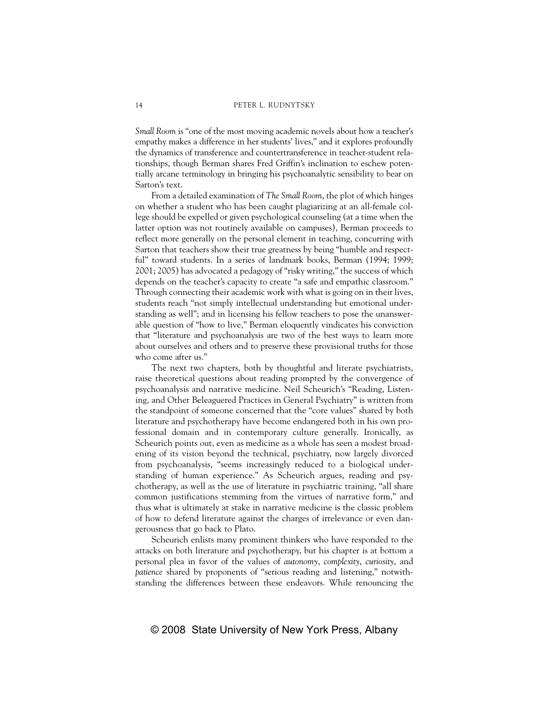*Small Room* is "one of the most moving academic novels about how a teacher's empathy makes a difference in her students' lives," and it explores profoundly the dynamics of transference and countertransference in teacher-student relationships, though Berman shares Fred Griffin's inclination to eschew potentially arcane terminology in bringing his psychoanalytic sensibility to bear on Sarton's text.

From a detailed examination of *The Small Room*, the plot of which hinges on whether a student who has been caught plagiarizing at an all-female college should be expelled or given psychological counseling (at a time when the latter option was not routinely available on campuses), Berman proceeds to reflect more generally on the personal element in teaching, concurring with Sarton that teachers show their true greatness by being "humble and respectful" toward students. In a series of landmark books, Berman (1994; 1999; 2001; 2005) has advocated a pedagogy of "risky writing," the success of which depends on the teacher's capacity to create "a safe and empathic classroom." Through connecting their academic work with what is going on in their lives, students reach "not simply intellectual understanding but emotional understanding as well"; and in licensing his fellow teachers to pose the unanswerable question of "how to live," Berman eloquently vindicates his conviction that "literature and psychoanalysis are two of the best ways to learn more about ourselves and others and to preserve these provisional truths for those who come after us."

The next two chapters, both by thoughtful and literate psychiatrists, raise theoretical questions about reading prompted by the convergence of psychoanalysis and narrative medicine. Neil Scheurich's "Reading, Listening, and Other Beleaguered Practices in General Psychiatry" is written from the standpoint of someone concerned that the "core values" shared by both literature and psychotherapy have become endangered both in his own professional domain and in contemporary culture generally. Ironically, as Scheurich points out, even as medicine as a whole has seen a modest broadening of its vision beyond the technical, psychiatry, now largely divorced from psychoanalysis, "seems increasingly reduced to a biological understanding of human experience." As Scheurich argues, reading and psychotherapy, as well as the use of literature in psychiatric training, "all share common justifications stemming from the virtues of narrative form," and thus what is ultimately at stake in narrative medicine is the classic problem of how to defend literature against the charges of irrelevance or even dangerousness that go back to Plato.

Scheurich enlists many prominent thinkers who have responded to the attacks on both literature and psychotherapy, but his chapter is at bottom a personal plea in favor of the values of *autonomy*, *complexity*, *curiosity*, and *patience* shared by proponents of "serious reading and listening," notwithstanding the differences between these endeavors. While renouncing the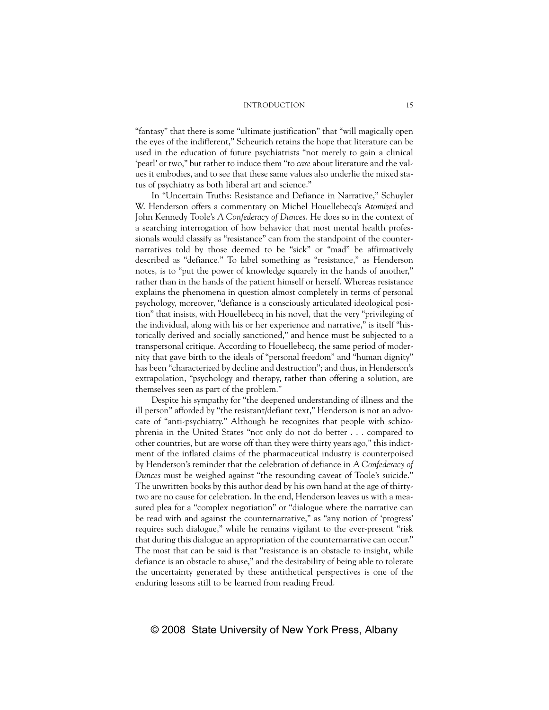"fantasy" that there is some "ultimate justification" that "will magically open the eyes of the indifferent," Scheurich retains the hope that literature can be used in the education of future psychiatrists "not merely to gain a clinical 'pearl' or two," but rather to induce them "to *care* about literature and the values it embodies, and to see that these same values also underlie the mixed status of psychiatry as both liberal art and science."

In "Uncertain Truths: Resistance and Defiance in Narrative," Schuyler W. Henderson offers a commentary on Michel Houellebecq's *Atomized* and John Kennedy Toole's *A Confederacy of Dunces*. He does so in the context of a searching interrogation of how behavior that most mental health professionals would classify as "resistance" can from the standpoint of the counternarratives told by those deemed to be "sick" or "mad" be affirmatively described as "defiance." To label something as "resistance," as Henderson notes, is to "put the power of knowledge squarely in the hands of another," rather than in the hands of the patient himself or herself. Whereas resistance explains the phenomena in question almost completely in terms of personal psychology, moreover, "defiance is a consciously articulated ideological position" that insists, with Houellebecq in his novel, that the very "privileging of the individual, along with his or her experience and narrative," is itself "historically derived and socially sanctioned," and hence must be subjected to a transpersonal critique. According to Houellebecq, the same period of modernity that gave birth to the ideals of "personal freedom" and "human dignity" has been "characterized by decline and destruction"; and thus, in Henderson's extrapolation, "psychology and therapy, rather than offering a solution, are themselves seen as part of the problem."

Despite his sympathy for "the deepened understanding of illness and the ill person" afforded by "the resistant/defiant text," Henderson is not an advocate of "anti-psychiatry." Although he recognizes that people with schizophrenia in the United States "not only do not do better . . . compared to other countries, but are worse off than they were thirty years ago," this indictment of the inflated claims of the pharmaceutical industry is counterpoised by Henderson's reminder that the celebration of defiance in *A Confederacy of Dunces* must be weighed against "the resounding caveat of Toole's suicide." The unwritten books by this author dead by his own hand at the age of thirtytwo are no cause for celebration. In the end, Henderson leaves us with a measured plea for a "complex negotiation" or "dialogue where the narrative can be read with and against the counternarrative," as "any notion of 'progress' requires such dialogue," while he remains vigilant to the ever-present "risk that during this dialogue an appropriation of the counternarrative can occur." The most that can be said is that "resistance is an obstacle to insight, while defiance is an obstacle to abuse," and the desirability of being able to tolerate the uncertainty generated by these antithetical perspectives is one of the enduring lessons still to be learned from reading Freud.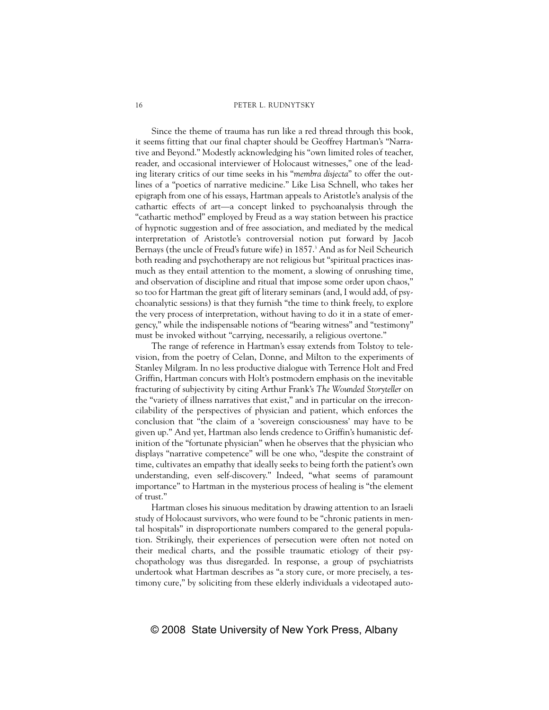Since the theme of trauma has run like a red thread through this book, it seems fitting that our final chapter should be Geoffrey Hartman's "Narrative and Beyond." Modestly acknowledging his "own limited roles of teacher, reader, and occasional interviewer of Holocaust witnesses," one of the leading literary critics of our time seeks in his "*membra disjecta*" to offer the outlines of a "poetics of narrative medicine." Like Lisa Schnell, who takes her epigraph from one of his essays, Hartman appeals to Aristotle's analysis of the cathartic effects of art—a concept linked to psychoanalysis through the "cathartic method" employed by Freud as a way station between his practice of hypnotic suggestion and of free association, and mediated by the medical interpretation of Aristotle's controversial notion put forward by Jacob Bernays (the uncle of Freud's future wife) in 1857.<sup>3</sup> And as for Neil Scheurich both reading and psychotherapy are not religious but "spiritual practices inasmuch as they entail attention to the moment, a slowing of onrushing time, and observation of discipline and ritual that impose some order upon chaos," so too for Hartman the great gift of literary seminars (and, I would add, of psychoanalytic sessions) is that they furnish "the time to think freely, to explore the very process of interpretation, without having to do it in a state of emergency," while the indispensable notions of "bearing witness" and "testimony" must be invoked without "carrying, necessarily, a religious overtone."

The range of reference in Hartman's essay extends from Tolstoy to television, from the poetry of Celan, Donne, and Milton to the experiments of Stanley Milgram. In no less productive dialogue with Terrence Holt and Fred Griffin, Hartman concurs with Holt's postmodern emphasis on the inevitable fracturing of subjectivity by citing Arthur Frank's *The Wounded Storyteller* on the "variety of illness narratives that exist," and in particular on the irreconcilability of the perspectives of physician and patient, which enforces the conclusion that "the claim of a 'sovereign consciousness' may have to be given up." And yet, Hartman also lends credence to Griffin's humanistic definition of the "fortunate physician" when he observes that the physician who displays "narrative competence" will be one who, "despite the constraint of time, cultivates an empathy that ideally seeks to being forth the patient's own understanding, even self-discovery." Indeed, "what seems of paramount importance" to Hartman in the mysterious process of healing is "the element of trust."

Hartman closes his sinuous meditation by drawing attention to an Israeli study of Holocaust survivors, who were found to be "chronic patients in mental hospitals" in disproportionate numbers compared to the general population. Strikingly, their experiences of persecution were often not noted on their medical charts, and the possible traumatic etiology of their psychopathology was thus disregarded. In response, a group of psychiatrists undertook what Hartman describes as "a story cure, or more precisely, a testimony cure," by soliciting from these elderly individuals a videotaped auto-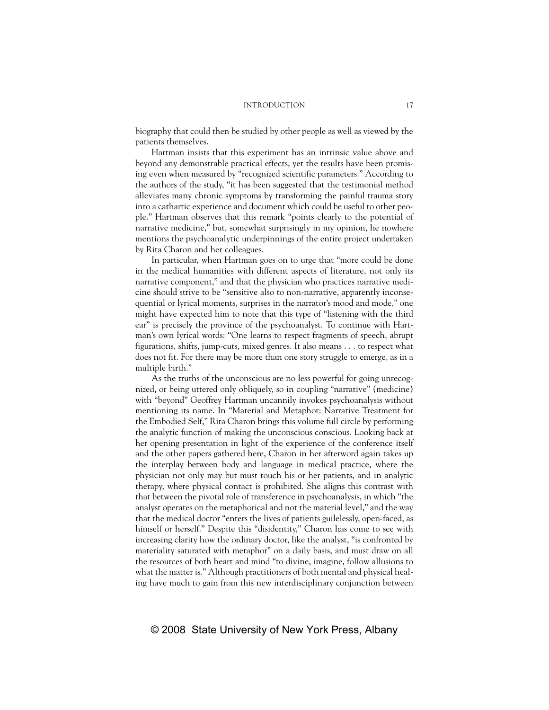biography that could then be studied by other people as well as viewed by the patients themselves.

Hartman insists that this experiment has an intrinsic value above and beyond any demonstrable practical effects, yet the results have been promising even when measured by "recognized scientific parameters." According to the authors of the study, "it has been suggested that the testimonial method alleviates many chronic symptoms by transforming the painful trauma story into a cathartic experience and document which could be useful to other people." Hartman observes that this remark "points clearly to the potential of narrative medicine," but, somewhat surprisingly in my opinion, he nowhere mentions the psychoanalytic underpinnings of the entire project undertaken by Rita Charon and her colleagues.

In particular, when Hartman goes on to urge that "more could be done in the medical humanities with different aspects of literature, not only its narrative component," and that the physician who practices narrative medicine should strive to be "sensitive also to non-narrative, apparently inconsequential or lyrical moments, surprises in the narrator's mood and mode," one might have expected him to note that this type of "listening with the third ear" is precisely the province of the psychoanalyst. To continue with Hartman's own lyrical words: "One learns to respect fragments of speech, abrupt figurations, shifts, jump-cuts, mixed genres. It also means . . . to respect what does not fit. For there may be more than one story struggle to emerge, as in a multiple birth."

As the truths of the unconscious are no less powerful for going unrecognized, or being uttered only obliquely, so in coupling "narrative" (medicine) with "beyond" Geoffrey Hartman uncannily invokes psychoanalysis without mentioning its name. In "Material and Metaphor: Narrative Treatment for the Embodied Self," Rita Charon brings this volume full circle by performing the analytic function of making the unconscious conscious. Looking back at her opening presentation in light of the experience of the conference itself and the other papers gathered here, Charon in her afterword again takes up the interplay between body and language in medical practice, where the physician not only may but must touch his or her patients, and in analytic therapy, where physical contact is prohibited. She aligns this contrast with that between the pivotal role of transference in psychoanalysis, in which "the analyst operates on the metaphorical and not the material level," and the way that the medical doctor "enters the lives of patients guilelessly, open-faced, as himself or herself." Despite this "disidentity," Charon has come to see with increasing clarity how the ordinary doctor, like the analyst, "is confronted by materiality saturated with metaphor" on a daily basis, and must draw on all the resources of both heart and mind "to divine, imagine, follow allusions to what the matter is." Although practitioners of both mental and physical healing have much to gain from this new interdisciplinary conjunction between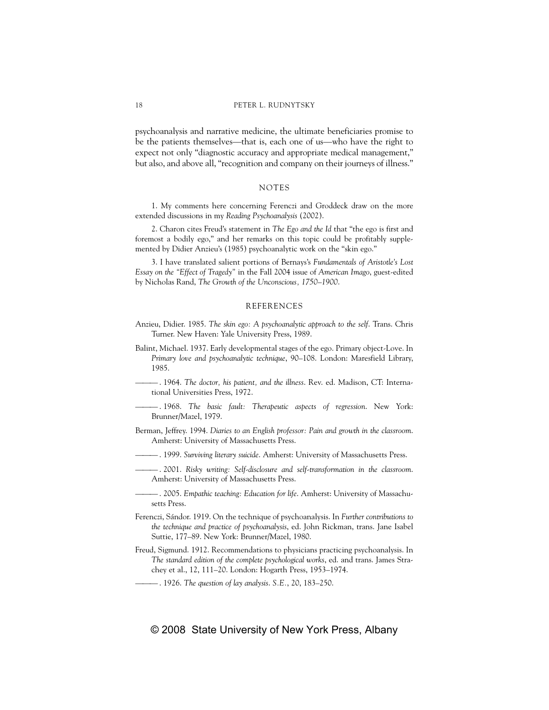#### 18 PETER L. RUDNYTSKY

psychoanalysis and narrative medicine, the ultimate beneficiaries promise to be the patients themselves—that is, each one of us—who have the right to expect not only "diagnostic accuracy and appropriate medical management," but also, and above all, "recognition and company on their journeys of illness."

#### **NOTES**

1. My comments here concerning Ferenczi and Groddeck draw on the more extended discussions in my *Reading Psychoanalysis* (2002).

2. Charon cites Freud's statement in *The Ego and the Id* that "the ego is first and foremost a bodily ego," and her remarks on this topic could be profitably supplemented by Didier Anzieu's (1985) psychoanalytic work on the "skin ego."

3. I have translated salient portions of Bernays's *Fundamentals of Aristotle's Lost Essay on the "Effect of Tragedy"* in the Fall 2004 issue of *American Imago*, guest-edited by Nicholas Rand, *The Growth of the Unconscious, 1750–1900*.

#### **REFERENCES**

- Anzieu, Didier. 1985. *The skin ego: A psychoanalytic approach to the self*. Trans. Chris Turner. New Haven: Yale University Press, 1989.
- Balint, Michael. 1937. Early developmental stages of the ego. Primary object-Love. In *Primary love and psychoanalytic technique*, 90–108. London: Maresfield Library, 1985.
- ——— . 1964. *The doctor, his patient, and the illness*. Rev. ed. Madison, CT: International Universities Press, 1972.
- ——— . 1968. *The basic fault: Therapeutic aspects of regression*. New York: Brunner/Mazel, 1979.
- Berman, Jeffrey. 1994. *Diaries to an English professor: Pain and growth in the classroom*. Amherst: University of Massachusetts Press.
- ——— . 1999. *Surviving literary suicide*. Amherst: University of Massachusetts Press.
- ——— . 2001. *Risky writing: Self-disclosure and self-transformation in the classroom*. Amherst: University of Massachusetts Press.
- ——— . 2005. *Empathic teaching: Education for life*. Amherst: University of Massachusetts Press.
- Ferenczi, Sándor. 1919. On the technique of psychoanalysis. In *Further contributions to the technique and practice of psychoanalysis*, ed. John Rickman, trans. Jane Isabel Suttie, 177–89. New York: Brunner/Mazel, 1980.
- Freud, Sigmund. 1912. Recommendations to physicians practicing psychoanalysis. In *The standard edition of the complete psychological works*, ed. and trans. James Strachey et al., 12, 111–20. London: Hogarth Press, 1953–1974.
- ——— . 1926. *The question of lay analysis*. *S.E.*, 20, 183–250.